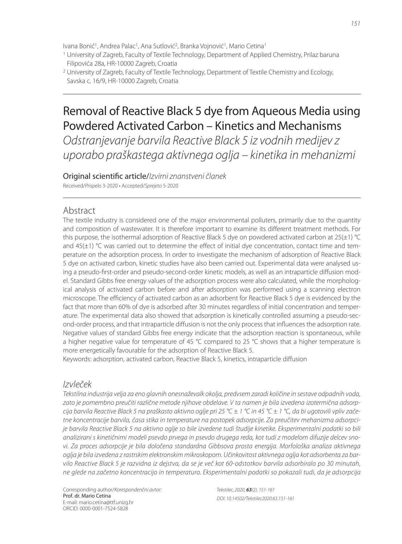Ivana Bonić<sup>1</sup>, Andrea Palac<sup>1</sup>, Ana Sutlović<sup>2</sup>, Branka Vojnović<sup>1</sup>, Mario Cetina<sup>1</sup>

1 University of Zagreb, Faculty of Textile Technology, Department of Applied Chemistry, Prilaz baruna Filipovića 28a, HR-10000 Zagreb, Croatia

# Removal of Reactive Black 5 dye from Aqueous Media using Powdered Activated Carbon – Kinetics and Mechanisms

Odstranjevanje barvila Reactive Black 5 iz vodnih medijev z uporabo praškastega aktivnega oglja – kinetika in mehanizmi

Original scientific article/Izvirni znanstveni članek

Received/Prispelo 3-2020 • Accepted/Sprejeto 5-2020

# Abstract

The textile industry is considered one of the major environmental polluters, primarily due to the quantity and composition of wastewater. It is therefore important to examine its different treatment methods. For this purpose, the isothermal adsorption of Reactive Black 5 dye on powdered activated carbon at 25(±1) °C and  $45(\pm 1)$  °C was carried out to determine the effect of initial dye concentration, contact time and temperature on the adsorption process. In order to investigate the mechanism of adsorption of Reactive Black 5 dye on activated carbon, kinetic studies have also been carried out. Experimental data were analysed using a pseudo-first-order and pseudo-second-order kinetic models, as well as an intraparticle diffusion model. Standard Gibbs free energy values of the adsorption process were also calculated, while the morphological analysis of activated carbon before and after adsorption was performed using a scanning electron microscope. The efficiency of activated carbon as an adsorbent for Reactive Black 5 dye is evidenced by the fact that more than 60% of dye is adsorbed after 30 minutes regardless of initial concentration and temperature. The experimental data also showed that adsorption is kinetically controlled assuming a pseudo-second-order process, and that intraparticle diffusion is not the only process that influences the adsorption rate. Negative values of standard Gibbs free energy indicate that the adsorption reaction is spontaneous, while a higher negative value for temperature of 45 °C compared to 25 °C shows that a higher temperature is more energetically favourable for the adsorption of Reactive Black 5.

Keywords: adsorption, activated carbon, Reactive Black 5, kinetics, intraparticle diffusion

# Izvleček

Tekstilna industrija velja za eno glavnih onesnaževalk okolja, predvsem zaradi količine in sestave odpadnih voda, zato je pomembno preučiti različne metode njihove obdelave. V ta namen je bila izvedena izotermična adsorpcija barvila Reactive Black 5 na praškasto aktivno oglje pri 25 °C ± 1 °C in 45 °C ± 1 °C, da bi ugotovili vpliv začetne koncentracije barvila, časa stika in temperature na postopek adsorpcije. Za preučitev mehanizma adsorpcije barvila Reactive Black 5 na aktivno oglje so bile izvedene tudi študije kinetike. Eksperimentalni podatki so bili analizirani s kinetičnimi modeli psevdo prvega in psevdo drugega reda, kot tudi z modelom difuzije delcev snovi. Za proces adsorpcije je bila določena standardna Gibbsova prosta energija. Morfološka analiza aktivnega oglja je bila izvedena z rastrskim elektronskim mikroskopom. Učinkovitost aktivnega oglja kot adsorbenta za barvilo Reactive Black 5 je razvidna iz dejstva, da se je več kot 60-odstotkov barvila adsorbiralo po 30 minutah, ne glede na začetno koncentracijo in temperaturo. Eksperimentalni podatki so pokazali tudi, da je adsorpcija

<sup>2</sup> University of Zagreb, Faculty of Textile Technology, Department of Textile Chemistry and Ecology, Savska c. 16/9, HR-10000 Zagreb, Croatia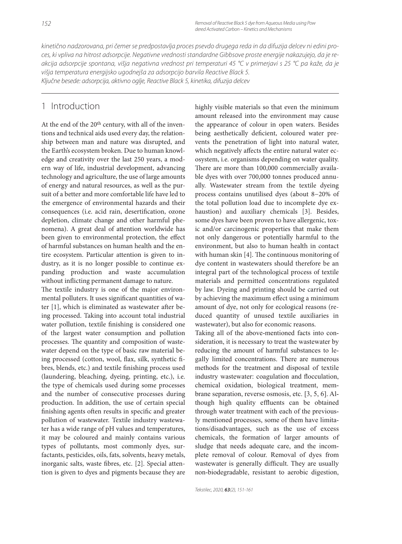kinetično nadzorovana, pri čemer se predpostavlja proces psevdo drugega reda in da difuzija delcev ni edini proces, ki vpliva na hitrost adsorpcije. Negativne vrednosti standardne Gibbsove proste energije nakazujejo, da je reakcija adsorpcije spontana, višja negativna vrednost pri temperaturi 45 °C v primerjavi s 25 °C pa kaže, da je višja temperatura energijsko ugodnejša za adsorpcijo barvila Reactive Black 5. Ključne besede: adsorpcija, aktivno oglje, Reactive Black 5, kinetika, difuzija delcev

# 1 Introduction

At the end of the 20th century, with all of the inventions and technical aids used every day, the relationship between man and nature was disrupted, and the Earth's ecosystem broken. Due to human knowledge and creativity over the last 250 years, a modern way of life, industrial development, advancing technology and agriculture, the use of large amounts of energy and natural resources, as well as the pursuit of a better and more comfortable life have led to the emergence of environmental hazards and their consequences (i.e. acid rain, desertification, ozone depletion, climate change and other harmful phenomena). A great deal of attention worldwide has been given to environmental protection, the effect of harmful substances on human health and the entire ecosystem. Particular attention is given to industry, as it is no longer possible to continue expanding production and waste accumulation without inflicting permanent damage to nature.

The textile industry is one of the major environmental polluters. It uses significant quantities of water [1], which is eliminated as wastewater after being processed. Taking into account total industrial water pollution, textile finishing is considered one of the largest water consumption and pollution processes. The quantity and composition of wastewater depend on the type of basic raw material being processed (cotton, wool, flax, silk, synthetic fibres, blends, etc.) and textile finishing process used (laundering, bleaching, dyeing, printing, etc.), i.e. the type of chemicals used during some processes and the number of consecutive processes during production. In addition, the use of certain special finishing agents often results in specific and greater pollution of wastewater. Textile industry wastewater has a wide range of pH values and temperatures, it may be coloured and mainly contains various types of pollutants, most commonly dyes, surfactants, pesticides, oils, fats, solvents, heavy metals, inorganic salts, waste fibres, etc. [2]. Special attention is given to dyes and pigments because they are highly visible materials so that even the minimum amount released into the environment may cause the appearance of colour in open waters. Besides being aesthetically deficient, coloured water prevents the penetration of light into natural water, which negatively affects the entire natural water ecosystem, i.e. organisms depending on water quality. There are more than 100,000 commercially available dyes with over 700,000 tonnes produced annually. Wastewater stream from the textile dyeing process contains unutilised dyes (about 8−20% of the total pollution load due to incomplete dye exhaustion) and auxiliary chemicals [3]. Besides, some dyes have been proven to have allergenic, toxic and/or carcinogenic properties that make them not only dangerous or potentially harmful to the environment, but also to human health in contact with human skin  $[4]$ . The continuous monitoring of dye content in wastewaters should therefore be an integral part of the technological process of textile materials and permitted concentrations regulated by law. Dyeing and printing should be carried out by achieving the maximum effect using a minimum amount of dye, not only for ecological reasons (reduced quantity of unused textile auxiliaries in wastewater), but also for economic reasons.

Taking all of the above-mentioned facts into consideration, it is necessary to treat the wastewater by reducing the amount of harmful substances to legally limited concentrations. There are numerous methods for the treatment and disposal of textile industry wastewater: coagulation and flocculation, chemical oxidation, biological treatment, membrane separation, reverse osmosis, etc. [3, 5, 6]. Although high quality effluents can be obtained through water treatment with each of the previously mentioned processes, some of them have limitations/disadvantages, such as the use of excess chemicals, the formation of larger amounts of sludge that needs adequate care, and the incomplete removal of colour. Removal of dyes from wastewater is generally difficult. They are usually non-biodegradable, resistant to aerobic digestion,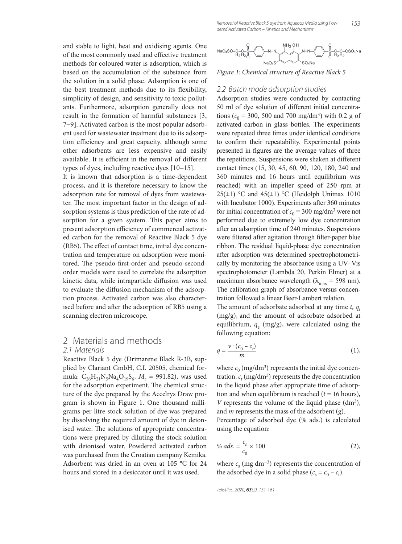and stable to light, heat and oxidising agents. One of the most commonly used and effective treatment methods for coloured water is adsorption, which is based on the accumulation of the substance from the solution in a solid phase. Adsorption is one of the best treatment methods due to its flexibility, simplicity of design, and sensitivity to toxic pollutants. Furthermore, adsorption generally does not result in the formation of harmful substances [3, 7−9]. Activated carbon is the most popular adsorbent used for wastewater treatment due to its adsorption efficiency and great capacity, although some other adsorbents are less expensive and easily available. It is efficient in the removal of different types of dyes, including reactive dyes [10−15].

It is known that adsorption is a time-dependent process, and it is therefore necessary to know the adsorption rate for removal of dyes from wastewater. The most important factor in the design of adsorption systems is thus prediction of the rate of adsorption for a given system. This paper aims to present adsorption efficiency of commercial activated carbon for the removal of Reactive Black 5 dye (RB5). The effect of contact time, initial dye concentration and temperature on adsorption were monitored. The pseudo-first-order and pseudo-secondorder models were used to correlate the adsorption kinetic data, while intraparticle diffusion was used to evaluate the diffusion mechanism of the adsorption process. Activated carbon was also characterised before and after the adsorption of RB5 using a scanning electron microscope.

### 2 Materials and methods 2.1 Materials

Reactive Black 5 dye (Drimarene Black R-3B, supplied by Clariant GmbH, C.I. 20505, chemical formula: C<sub>26</sub>H<sub>21</sub>N<sub>5</sub>Na<sub>4</sub>O<sub>19</sub>S<sub>6</sub>, M<sub>r</sub> = 991.82), was used for the adsorption experiment. The chemical structure of the dye prepared by the Accelrys Draw program is shown in Figure 1. One thousand milligrams per litre stock solution of dye was prepared by dissolving the required amount of dye in deionised water. The solutions of appropriate concentrations were prepared by diluting the stock solution with deionised water. Powdered activated carbon was purchased from the Croatian company Kemika. Adsorbent was dried in an oven at 105 °C for 24 hours and stored in a desiccator until it was used.



*Figure 1: Chemical structure of Reactive Black 5*

#### 2.2 Batch mode adsorption studies

Adsorption studies were conducted by contacting 50 ml of dye solution of different initial concentrations ( $c_0$  = 300, 500 and 700 mg/dm<sup>3</sup>) with 0.2 g of activated carbon in glass bottles. The experiments were repeated three times under identical conditions to confirm their repeatability. Experimental points presented in figures are the average values of three the repetitions. Suspensions were shaken at different contact times (15, 30, 45, 60, 90, 120, 180, 240 and 360 minutes and 16 hours until equilibrium was reached) with an impeller speed of 250 rpm at 25( $\pm$ 1) °C and 45( $\pm$ 1) °C (Heidolph Unimax 1010 with Incubator 1000). Experiments after 360 minutes for initial concentration of  $c_0 = 300$  mg/dm<sup>3</sup> were not performed due to extremely low dye concentration after an adsorption time of 240 minutes. Suspensions were filtered after agitation through filter-paper blue ribbon. The residual liquid-phase dye concentration after adsorption was determined spectrophotometrically by monitoring the absorbance using a UV–Vis spectrophotometer (Lambda 20, Perkin Elmer) at a maximum absorbance wavelength ( $\lambda_{\text{max}}$  = 598 nm). The calibration graph of absorbance versus concentration followed a linear Beer-Lambert relation.

The amount of adsorbate adsorbed at any time  $t$ ,  $q_t$ (mg/g), and the amount of adsorbate adsorbed at equilibrium,  $q_e$  (mg/g), were calculated using the following equation:

$$
q = \frac{\nu \cdot (c_0 - c_t)}{m} \tag{1}
$$

where  $c_0$  (mg/dm<sup>3</sup>) represents the initial dye concentration,  $c_t$  (mg/dm<sup>3</sup>) represents the dye concentration in the liquid phase after appropriate time of adsorption and when equilibrium is reached  $(t = 16$  hours), *V* represents the volume of the liquid phase (dm<sup>3</sup>), and *m* represents the mass of the adsorbent (g).

Percentage of adsorbed dye (% ads.) is calculated using the equation:

% ads. = 
$$
\frac{c_s}{c_0} \times 100
$$
 (2),

where  $c_s$  (mg dm<sup>-3</sup>) represents the concentration of the adsorbed dye in a solid phase  $(c_s = c_0 - c_t)$ .

Tekstilec, 2020, *63*(2), 151-161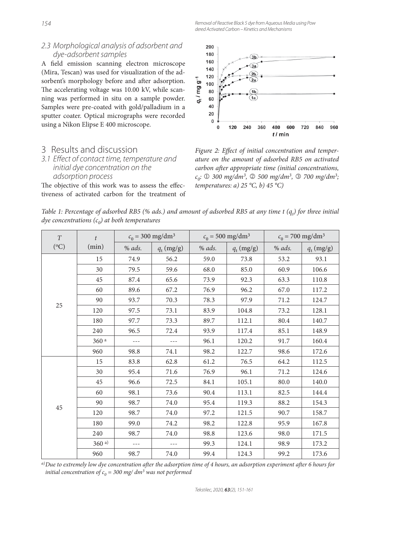### 2.3 Morphological analysis of adsorbent and dye-adsorbent samples

A field emission scanning electron microscope (Mira, Tescan) was used for visualization of the adsorbent's morphology before and after adsorption. The accelerating voltage was 10.00 kV, while scanning was performed in situ on a sample powder. Samples were pre-coated with gold/palladium in a sputter coater. Optical micrographs were recorded using a Nikon Elipse E 400 microscope.

### 3 Results and discussion

### 3.1 Effect of contact time, temperature and initial dye concentration on the adsorption process

The objective of this work was to assess the effectiveness of activated carbon for the treatment of



Figure 2: Effect of initial concentration and temper*ature on the amount of adsorbed RB5 on activated carbon after appropriate time (initial concentrations, c0:* 1 *300 mg/dm3,* 2 *500 mg/dm3,* 3 *700 mg/dm3; temperatures: a) 25 °C, b) 45 °C)*

| Table 1: Percentage of adsorbed RB5 (% ads.) and amount of adsorbed RB5 at any time t $(q_i)$ for three initial |  |  |  |
|-----------------------------------------------------------------------------------------------------------------|--|--|--|
| <i>dye concentrations</i> $(c_0)$ at both temperatures                                                          |  |  |  |

| T         | $\mathbf{f}$ | $c_0 = 300 \text{ mg/dm}^3$ |              | $c_0 = 500 \text{ mg/dm}^3$ |              | $c_0 = 700$ mg/dm <sup>3</sup> |              |
|-----------|--------------|-----------------------------|--------------|-----------------------------|--------------|--------------------------------|--------------|
| $({}^oC)$ | (min)        | $%$ ads.                    | $q_t$ (mg/g) | $%$ ads.                    | $q_t$ (mg/g) | % ads.                         | $q_t$ (mg/g) |
| 25        | 15           | 74.9                        | 56.2         | 59.0                        | 73.8         | 53.2                           | 93.1         |
|           | 30           | 79.5                        | 59.6         | 68.0                        | 85.0         | 60.9                           | 106.6        |
|           | 45           | 87.4                        | 65.6         | 73.9                        | 92.3         | 63.3                           | 110.8        |
|           | 60           | 89.6                        | 67.2         | 76.9                        | 96.2         | 67.0                           | 117.2        |
|           | 90           | 93.7                        | 70.3         | 78.3                        | 97.9         | 71.2                           | 124.7        |
|           | 120          | 97.5                        | 73.1         | 83.9                        | 104.8        | 73.2                           | 128.1        |
|           | 180          | 97.7                        | 73.3         | 89.7                        | 112.1        | 80.4                           | 140.7        |
|           | 240          | 96.5                        | 72.4         | 93.9                        | 117.4        | 85.1                           | 148.9        |
|           | 360 a        | $---$                       | $---$        | 96.1                        | 120.2        | 91.7                           | 160.4        |
|           | 960          | 98.8                        | 74.1         | 98.2                        | 122.7        | 98.6                           | 172.6        |
| 45        | 15           | 83.8                        | 62.8         | 61.2                        | 76.5         | 64.2                           | 112.5        |
|           | 30           | 95.4                        | 71.6         | 76.9                        | 96.1         | 71.2                           | 124.6        |
|           | 45           | 96.6                        | 72.5         | 84.1                        | 105.1        | 80.0                           | 140.0        |
|           | 60           | 98.1                        | 73.6         | 90.4                        | 113.1        | 82.5                           | 144.4        |
|           | 90           | 98.7                        | 74.0         | 95.4                        | 119.3        | 88.2                           | 154.3        |
|           | 120          | 98.7                        | 74.0         | 97.2                        | 121.5        | 90.7                           | 158.7        |
|           | 180          | 99.0                        | 74.2         | 98.2                        | 122.8        | 95.9                           | 167.8        |
|           | 240          | 98.7                        | 74.0         | 98.8                        | 123.6        | 98.0                           | 171.5        |
|           | 360a)        | $---$                       | $---$        | 99.3                        | 124.1        | 98.9                           | 173.2        |
|           | 960          | 98.7                        | 74.0         | 99.4                        | 124.3        | 99.2                           | 173.6        |

a) Due to extremely low dye concentration after the adsorption time of 4 hours, an adsorption experiment after 6 hours for *initial concentration of*  $c_0 = 300$  *mg/ dm<sup>3</sup> was not performed*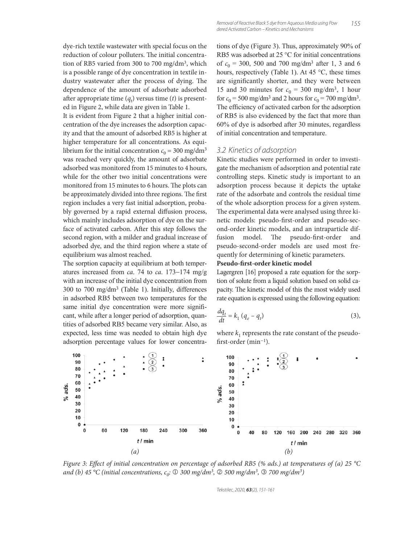dye-rich textile wastewater with special focus on the reduction of colour polluters. The initial concentration of RB5 varied from 300 to 700 mg/dm3, which is a possible range of dye concentration in textile industry wastewater after the process of dying. The dependence of the amount of adsorbate adsorbed after appropriate time  $(q_t)$  versus time  $(t)$  is presented in Figure 2, while data are given in Table 1.

It is evident from Figure 2 that a higher initial concentration of the dye increases the adsorption capacity and that the amount of adsorbed RB5 is higher at higher temperature for all concentrations. As equilibrium for the initial concentration  $c_0 = 300$  mg/dm<sup>3</sup> was reached very quickly, the amount of adsorbate adsorbed was monitored from 15 minutes to 4 hours, while for the other two initial concentrations were monitored from 15 minutes to 6 hours. The plots can be approximately divided into three regions. The first region includes a very fast initial adsorption, probably governed by a rapid external diffusion process, which mainly includes adsorption of dye on the surface of activated carbon. After this step follows the second region, with a milder and gradual increase of adsorbed dye, and the third region where a state of equilibrium was almost reached.

The sorption capacity at equilibrium at both temperatures increased from *ca*. 74 to *ca*. 173−174 mg/g with an increase of the initial dye concentration from 300 to 700 mg/dm3 (Table 1). Initially, differences in adsorbed RB5 between two temperatures for the same initial dye concentration were more significant, while after a longer period of adsorption, quantities of adsorbed RB5 became very similar. Also, as expected, less time was needed to obtain high dye adsorption percentage values for lower concentra-

tions of dye (Figure 3). Thus, approximately 90% of RB5 was adsorbed at 25 °C for initial concentrations of  $c_0 = 300$ , 500 and 700 mg/dm<sup>3</sup> after 1, 3 and 6 hours, respectively (Table 1). At 45  $\degree$ C, these times are significantly shorter, and they were between 15 and 30 minutes for  $c_0 = 300$  mg/dm<sup>3</sup>, 1 hour for  $c_0 = 500$  mg/dm<sup>3</sup> and 2 hours for  $c_0 = 700$  mg/dm<sup>3</sup>. The efficiency of activated carbon for the adsorption of RB5 is also evidenced by the fact that more than 60% of dye is adsorbed after 30 minutes, regardless of initial concentration and temperature.

#### 3.2 Kinetics of adsorption

Kinetic studies were performed in order to investigate the mechanism of adsorption and potential rate controlling steps. Kinetic study is important to an adsorption process because it depicts the uptake rate of the adsorbate and controls the residual time of the whole adsorption process for a given system. The experimental data were analysed using three kinetic models: pseudo-first-order and pseudo-second-order kinetic models, and an intraparticle diffusion model. The pseudo-first-order and pseudo-second-order models are used most frequently for determining of kinetic parameters.

#### **Pseudo-first-order kinetic model**

Lagergren [16] proposed a rate equation for the sorption of solute from a liquid solution based on solid capacity. The kinetic model of this the most widely used rate equation is expressed using the following equation:

$$
\frac{dq_t}{dt} = k_1 (q_e - q_t) \tag{3}
$$

where  $k_1$  represents the rate constant of the pseudofirst-order (min<sup>-1</sup>).



*Figure 3: Effect of initial concentration on percentage of adsorbed RB5 (% ads.) at temperatures of (a) 25 °C and (b) 45 °C (initial concentrations, c<sub>0</sub>: ① 300 mg/dm<sup>3</sup>, ② 500 mg/dm<sup>3</sup>, ③ 700 mg/dm<sup>3</sup>)* 

Tekstilec, 2020, *63*(2), 151-161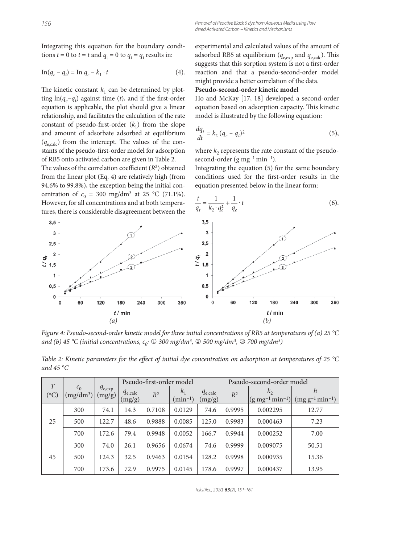Integrating this equation for the boundary conditions  $t = 0$  to  $t = t$  and  $q_t = 0$  to  $q_t = q_t$  results in:

$$
\operatorname{In}(q_e - q_t) = \operatorname{In} q_e - k_1 \cdot t \tag{4}.
$$

The kinetic constant  $k_1$  can be determined by plotting  $ln(q_e - q_t)$  against time (*t*), and if the first-order equation is applicable, the plot should give a linear relationship, and facilitates the calculation of the rate constant of pseudo-first-order  $(k_1)$  from the slope and amount of adsorbate adsorbed at equilibrium  $(q_{\text{e,calc}})$  from the intercept. The values of the constants of the pseudo-first-order model for adsorption of RB5 onto activated carbon are given in Table 2.

The values of the correlation coefficient  $(R^2)$  obtained from the linear plot (Eq. 4) are relatively high (from 94.6% to 99.8%), the exception being the initial concentration of  $c_0 = 300 \text{ mg/dm}^3$  at 25 °C (71.1%). However, for all concentrations and at both temperatures, there is considerable disagreement between the experimental and calculated values of the amount of adsorbed RB5 at equilibrium ( $q_{e,exp}$  and  $q_{e,calc}$ ). This suggests that this sorption system is not a first-order reaction and that a pseudo-second-order model might provide a better correlation of the data.

### **Pseudo-second-order kinetic model**

Ho and McKay [17, 18] developed a second-order equation based on adsorption capacity. This kinetic model is illustrated by the following equation:

$$
\frac{dq_t}{dt} = k_2 (q_e - q_t)^2
$$
\n<sup>(5)</sup>

where  $k_2$  represents the rate constant of the pseudosecond-order (g mg<sup>-1</sup> min<sup>-1</sup>).

Integrating the equation (5) for the same boundary conditions used for the first-order results in the equation presented below in the linear form:

$$
\frac{t}{q_t} = \frac{1}{k_2 \cdot q_e^2} + \frac{1}{q_e} \cdot t
$$
 (6).



*Figure 4: Pseudo-second-order kinetic model for three initial concentrations of RB5 at temperatures of (a) 25 °C and (b) 45 °C (initial concentrations, c0:* 1 *300 mg/dm3,* 2 *500 mg/dm3,* 3 *700 mg/dm3)*

| T               |                               |                       | Pseudo-first-order model |        |                              | Pseudo-second-order model |        |                                       |                             |
|-----------------|-------------------------------|-----------------------|--------------------------|--------|------------------------------|---------------------------|--------|---------------------------------------|-----------------------------|
| ${}^{'}\circ C$ | c <sub>0</sub><br>$(mg/dm^3)$ | $q_{e,exp}$<br>(mg/g) | $q_{e,calc}$<br>(mg/g)   | $R^2$  | $k_1$<br>$\text{min}^{-1}$ ) | $q_{e,calc}$<br>(mg/g)    | $R^2$  | $k_{2}$<br>$ (g\,mg^{-1}\,min^{-1}) $ | h<br>$(mg g^{-1} min^{-1})$ |
|                 | 300                           | 74.1                  | 14.3                     | 0.7108 | 0.0129                       | 74.6                      | 0.9995 | 0.002295                              | 12.77                       |
| 25              | 500                           | 122.7                 | 48.6                     | 0.9888 | 0.0085                       | 125.0                     | 0.9983 | 0.000463                              | 7.23                        |
|                 | 700                           | 172.6                 | 79.4                     | 0.9948 | 0.0052                       | 166.7                     | 0.9944 | 0.000252                              | 7.00                        |
|                 | 300                           | 74.0                  | 26.1                     | 0.9656 | 0.0674                       | 74.6                      | 0.9999 | 0.009075                              | 50.51                       |
| 45              | 500                           | 124.3                 | 32.5                     | 0.9463 | 0.0154                       | 128.2                     | 0.9998 | 0.000935                              | 15.36                       |
|                 | 700                           | 173.6                 | 72.9                     | 0.9975 | 0.0145                       | 178.6                     | 0.9997 | 0.000437                              | 13.95                       |

*Table 2: Kinetic parameters for the effect of initial dye concentration on adsorption at temperatures of 25 °C and 45 °C*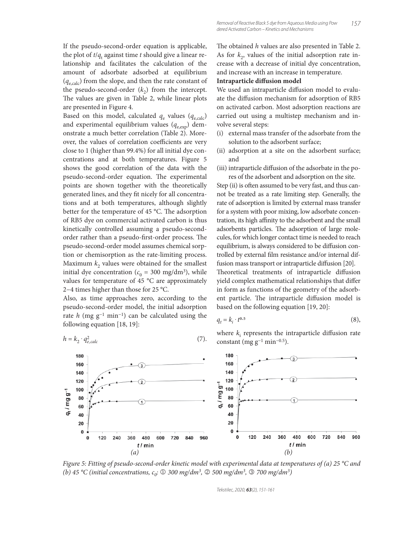If the pseudo-second-order equation is applicable, the plot of *t*/*q*<sup>t</sup> against time *t* should give a linear relationship and facilitates the calculation of the amount of adsorbate adsorbed at equilibrium (*q*e,calc) from the slope, and then the rate constant of the pseudo-second-order  $(k_2)$  from the intercept. The values are given in Table 2, while linear plots are presented in Figure 4.

Based on this model, calculated  $q_e$  values ( $q_{e,calc}$ ) and experimental equilibrium values  $(q_{\text{e,exp}})$  demonstrate a much better correlation (Table 2). Moreover, the values of correlation coefficients are very close to 1 (higher than 99.4%) for all initial dye concentrations and at both temperatures. Figure 5 shows the good correlation of the data with the pseudo-second-order equation. The experimental points are shown together with the theoretically generated lines, and they fit nicely for all concentrations and at both temperatures, although slightly better for the temperature of 45  $^{\circ}$ C. The adsorption of RB5 dye on commercial activated carbon is thus kinetically controlled assuming a pseudo-secondorder rather than a pseudo-first-order process. The pseudo-second-order model assumes chemical sorption or chemisorption as the rate-limiting process. Maximum  $k_2$  values were obtained for the smallest initial dye concentration ( $c_0 = 300$  mg/dm<sup>3</sup>), while values for temperature of 45 °C are approximately 2−4 times higher than those for 25 °C.

Also, as time approaches zero, according to the pseudo-second-order model, the initial adsorption rate *h* (mg g−1 min−1) can be calculated using the following equation [18, 19]:

$$
h = k_2 \cdot q_{e,calc}^2 \tag{7}
$$

The obtained *h* values are also presented in Table 2. As for  $k<sub>2</sub>$ , values of the initial adsorption rate increase with a decrease of initial dye concentration, and increase with an increase in temperature.

#### **Intraparticle diffusion model**

We used an intraparticle diffusion model to evaluate the diffusion mechanism for adsorption of RB5 on activated carbon. Most adsorption reactions are carried out using a multistep mechanism and involve several steps:

- (i) external mass transfer of the adsorbate from the solution to the adsorbent surface;
- (ii) adsorption at a site on the adsorbent surface; and
- (iii) intraparticle diffusion of the adsorbate in the pores of the adsorbent and adsorption on the site.

Step (ii) is often assumed to be very fast, and thus cannot be treated as a rate limiting step. Generally, the rate of adsorption is limited by external mass transfer for a system with poor mixing, low adsorbate concentration, its high affinity to the adsorbent and the small adsorbents particles. The adsorption of large molecules, for which longer contact time is needed to reach equilibrium, is always considered to be diffusion controlled by external film resistance and/or internal diffusion mass transport or intraparticle diffusion [20]. Theoretical treatments of intraparticle diffusion yield complex mathematical relationships that differ in form as functions of the geometry of the adsorbent particle. The intraparticle diffusion model is based on the following equation [19, 20]:

$$
q_t = k_i \cdot t^{0.5} \tag{8}
$$

where  $k_i$  represents the intraparticle diffusion rate constant (mg  $g^{-1}$  min<sup>-0.5</sup>).



*Figure 5: Fitting of pseudo-second-order kinetic model with experimental data at temperatures of (a) 25 °C and (b)* 45 °C *(initial concentrations, c<sub>0</sub>: ① 300 mg/dm<sup>3</sup>, ② 500 mg/dm<sup>3</sup>, ③ 700 mg/dm<sup>3</sup>)* 

Tekstilec, 2020, *63*(2), 151-161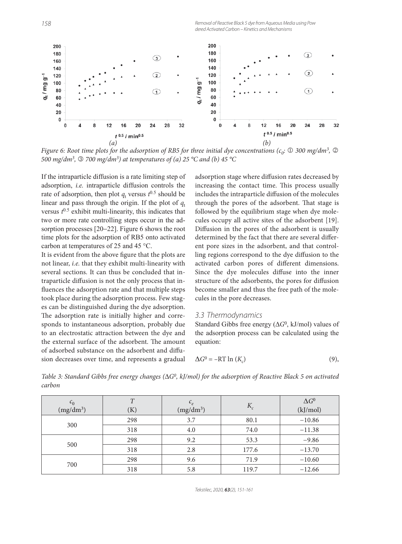

*Figure 6: Root time plots for the adsorption of RB5 for three initial dye concentrations (c<sub>0</sub>:*  $\mathbb O$  *300 mg/dm<sup>3</sup>,*  $\mathbb O$ *500 mg/dm3,* 3 *700 mg/dm3) at temperatures of (a) 25 °C and (b) 45 °C*

If the intraparticle diffusion is a rate limiting step of adsorption, *i.e.* intraparticle diffusion controls the rate of adsorption, then plot  $q_t$  versus  $t^{0.5}$  should be linear and pass through the origin. If the plot of  $q_t$ versus  $t^{0.5}$  exhibit multi-linearity, this indicates that two or more rate controlling steps occur in the adsorption processes [20−22]. Figure 6 shows the root time plots for the adsorption of RB5 onto activated carbon at temperatures of 25 and 45 °C.

It is evident from the above figure that the plots are not linear, *i.e.* that they exhibit multi-linearity with several sections. It can thus be concluded that intraparticle diffusion is not the only process that influences the adsorption rate and that multiple steps took place during the adsorption process. Few stages can be distinguished during the dye adsorption. The adsorption rate is initially higher and corresponds to instantaneous adsorption, probably due to an electrostatic attraction between the dye and the external surface of the adsorbent. The amount of adsorbed substance on the adsorbent and diffusion decreases over time, and represents a gradual

adsorption stage where diffusion rates decreased by increasing the contact time. This process usually includes the intraparticle diffusion of the molecules through the pores of the adsorbent. That stage is followed by the equilibrium stage when dye molecules occupy all active sites of the adsorbent [19]. Diffusion in the pores of the adsorbent is usually determined by the fact that there are several different pore sizes in the adsorbent, and that controlling regions correspond to the dye diffusion to the activated carbon pores of different dimensions. Since the dye molecules diffuse into the inner structure of the adsorbents, the pores for diffusion become smaller and thus the free path of the molecules in the pore decreases.

#### 3.3 Thermodynamics

Standard Gibbs free energy (Δ*G*0, kJ/mol) values of the adsorption process can be calculated using the equation:

$$
\Delta G^0 = -RT \ln(K_c) \tag{9},
$$

*Table 3: Standard Gibbs free energy changes (*Δ*G0, kJ/mol) for the adsorption of Reactive Black 5 on activated carbon*

| $\epsilon_0$<br>$(mg/dm^3)$ | T<br>(K) | $c_e$<br>$(mg/dm^3)$ | $K_c$ | $\Delta G^0$<br>(kJ/mol) |
|-----------------------------|----------|----------------------|-------|--------------------------|
| 300                         | 298      | 3.7                  | 80.1  | $-10.86$                 |
|                             | 318      | 4.0                  | 74.0  | $-11.38$                 |
| 500                         | 298      | 9.2                  | 53.3  | $-9.86$                  |
|                             | 318      | 2.8                  | 177.6 | $-13.70$                 |
| 700                         | 298      | 9.6                  | 71.9  | $-10.60$                 |
|                             | 318      | 5.8                  | 119.7 | $-12.66$                 |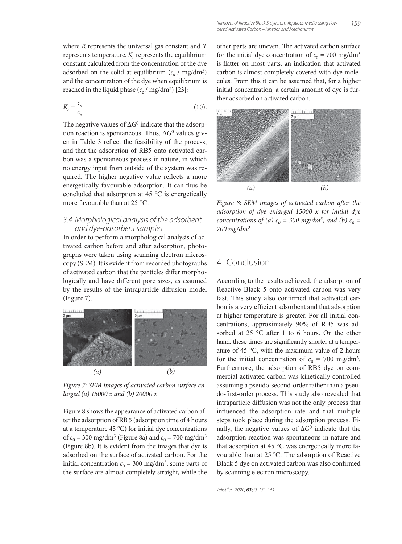where *R* represents the universal gas constant and *T* represents temperature.  $K_c$  represents the equilibrium constant calculated from the concentration of the dye adsorbed on the solid at equilibrium  $(c_s / mg/dm^3)$ and the concentration of the dye when equilibrium is reached in the liquid phase  $(c_e / mg/dm^3)$  [23]:

$$
K_c = \frac{c_s}{c_e} \tag{10}
$$

The negative values of Δ*G*0 indicate that the adsorption reaction is spontaneous. Thus, Δ*G*0 values given in Table 3 reflect the feasibility of the process, and that the adsorption of RB5 onto activated carbon was a spontaneous process in nature, in which no energy input from outside of the system was required. The higher negative value reflects a more energetically favourable adsorption. It can thus be concluded that adsorption at 45 °C is energetically more favourable than at 25 °C.

#### 3.4 Morphological analysis of the adsorbent and dye-adsorbent samples

In order to perform a morphological analysis of activated carbon before and after adsorption, photographs were taken using scanning electron microscopy (SEM). It is evident from recorded photographs of activated carbon that the particles differ morphologically and have different pore sizes, as assumed by the results of the intraparticle diffusion model (Figure 7).



*Figure 7: SEM images of activated carbon surface enlarged (a) 15000 x and (b) 20000 x*

Figure 8 shows the appearance of activated carbon after the adsorption of RB 5 (adsorption time of 4 hours at a temperature 45 °C) for initial dye concentrations of  $c_0 = 300 \text{ mg/dm}^3$  (Figure 8a) and  $c_0 = 700 \text{ mg/dm}^3$ (Figure 8b). It is evident from the images that dye is adsorbed on the surface of activated carbon. For the initial concentration  $c_0 = 300$  mg/dm<sup>3</sup>, some parts of the surface are almost completely straight, while the other parts are uneven. The activated carbon surface for the initial dye concentration of  $c_0 = 700$  mg/dm<sup>3</sup> is flatter on most parts, an indication that activated carbon is almost completely covered with dye molecules. From this it can be assumed that, for a higher initial concentration, a certain amount of dye is further adsorbed on activated carbon.

159



Figure 8: SEM images of activated carbon after the *adsorption of dye enlarged 15000 x for initial dye concentrations of (a)*  $c_0 = 300$  *mg/dm<sup>3</sup>, and (b)*  $c_0 =$ *700 mg/dm3*

# 4 Conclusion

According to the results achieved, the adsorption of Reactive Black 5 onto activated carbon was very fast. This study also confirmed that activated carbon is a very efficient adsorbent and that adsorption at higher temperature is greater. For all initial concentrations, approximately 90% of RB5 was adsorbed at 25 °C after 1 to 6 hours. On the other hand, these times are significantly shorter at a temperature of 45 °C, with the maximum value of 2 hours for the initial concentration of  $c_0 = 700$  mg/dm<sup>3</sup>. Furthermore, the adsorption of RB5 dye on commercial activated carbon was kinetically controlled assuming a pseudo-second-order rather than a pseudo-first-order process. This study also revealed that intraparticle diffusion was not the only process that influenced the adsorption rate and that multiple steps took place during the adsorption process. Finally, the negative values of Δ*G*0 indicate that the adsorption reaction was spontaneous in nature and that adsorption at 45 °C was energetically more favourable than at 25 °C. The adsorption of Reactive Black 5 dye on activated carbon was also confirmed by scanning electron microscopy.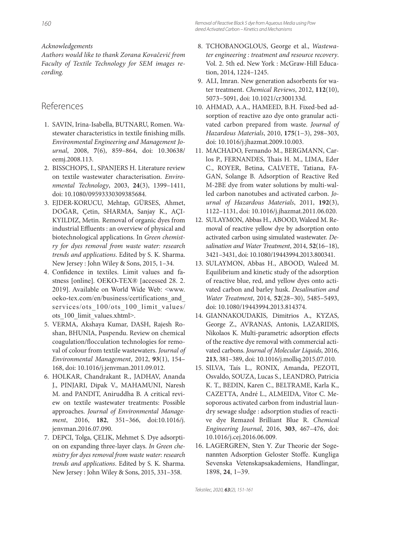*Acknowledgements*

*Authors would like to thank Zorana Kovačević from Faculty of Textile Technology for SEM images recording.*

# References

- 1. SAVIN, Irina-Isabella, BUTNARU, Romen. Wastewater characteristics in textile finishing mills. *Environmental Engineering and Management Journal*, 2008, **7**(6), 859–864, doi: 10.30638/ eemj.2008.113.
- 2. BISSCHOPS, I., SPANJERS H. Literature review on textile wastewater characterisation. *Environmental Technology*, 2003, **24**(3), 1399–1411, doi: 10.1080/09593330309385684.
- 3. EJDER-KORUCU, Mehtap, GÜRSES, Ahmet, DOĞAR, Çetin, SHARMA, Sanjay K., AÇI-KYILDIZ, Metin. Removal of organic dyes from industrial Effluents : an overview of physical and biotechnological applications. In *Green chemistry for dyes removal from waste water: research trends and applications*. Edited by S. K. Sharma. New Jersey : John Wiley & Sons, 2015, 1–34.
- 4. Confidence in textiles. Limit values and fastness [online]. OEKO-TEX® [accessed 28. 2. 2019]. Available on World Wide Web: <www. oeko-tex.com/en/business/certifications\_and\_ services/ots 100/ots 100 limit values/ ots\_100\_limit\_values.xhtml>.
- 5. VERMA, Akshaya Kumar, DASH, Rajesh Roshan, BHUNIA, Puspendu. Review on chemical coagulation/flocculation technologies for removal of colour from textile wastewaters. *Journal of Environmental Management*, 2012, **93**(1), 154– 168, doi: 10.1016/j.jenvman.2011.09.012.
- 6. HOLKAR, Chandrakant R., JADHAV, Ananda J., PINJARI, Dipak V., MAHAMUNI, Naresh M. and PANDIT, Aniruddha B. A critical review on textile wastewater treatments: Possible approaches. *Journal of Environmental Management*, 2016, **182**, 351–366, doi:10.1016/j. jenvman.2016.07.090.
- 7. DEPCI, Tolga, ÇELIK, Mehmet S. Dye adsorption on expanding three-layer clays. *In Green chemistry for dyes removal from waste water: research trends and applications*. Edited by S. K. Sharma. New Jersey : John Wiley & Sons, 2015, 331–358.
- 8. TCHOBANOGLOUS, George et al., *Wastewater engineering : treatment and resource recovery*. Vol. 2. 5th ed. New York : McGraw-Hill Education, 2014, 1224–1245.
- 9. ALI, Imran. New generation adsorbents for water treatment. *Chemical Reviews*, 2012, **112**(10), 5073−5091, doi: 10.1021/cr300133d.
- 10. AHMAD, A.A., HAMEED, B.H. Fixed-bed adsorption of reactive azo dye onto granular activated carbon prepared from waste. *Journal of Hazardous Materials*, 2010, **175**(1−3), 298–303, doi: 10.1016/j.jhazmat.2009.10.003.
- 11. MACHADO, Fernando M., BERGMANN, Carlos P., FERNANDES, Thais H. M., LIMA, Eder C., ROYER, Betina, CALVETE, Tatiana, FA-GAN, Solange B. Adsorption of Reactive Red M-2BE dye from water solutions by multi-walled carbon nanotubes and activated carbon. *Journal of Hazardous Materials*, 2011, **192**(3), 1122–1131, doi: 10.1016/j.jhazmat.2011.06.020.
- 12. SULAYMON, Abbas H., ABOOD, Waleed M. Removal of reactive yellow dye by adsorption onto activated carbon using simulated wastewater. *Desalination and Water Treatment*, 2014, **52**(16−18), 3421–3431, doi: 10.1080/19443994.2013.800341.
- 13. SULAYMON, Abbas H., ABOOD, Waleed M. Equilibrium and kinetic study of the adsorption of reactive blue, red, and yellow dyes onto activated carbon and barley husk. *Desalination and Water Treatment*, 2014, **52**(28−30), 5485–5493, doi: 10.1080/19443994.2013.814374.
- 14. GIANNAKOUDAKIS, Dimitrios A., KYZAS, George Z., AVRANAS, Antonis, LAZARIDIS, Nikolaos K. Multi-parametric adsorption effects of the reactive dye removal with commercial activated carbons. *Journal of Molecular Liquids*, 2016, **213**, 381–389, doi: 10.1016/j.molliq.2015.07.010.
- 15. SILVA, Taís L., RONIX, Amanda, PEZOTI, Osvaldo, SOUZA, Lucas S., LEANDRO, Patricia K. T., BEDIN, Karen C., BELTRAME, Karla K., CAZETTA, André L., ALMEIDA, Vitor C. Mesoporous activated carbon from industrial laundry sewage sludge : adsorption studies of reactive dye Remazol Brilliant Blue R. *Chemical Engineering Journal*, 2016, **303**, 467–476, doi: 10.1016/j.cej.2016.06.009.
- 16. LAGERGREN, Sten Y. Zur Theorie der Sogenannten Adsorption Geloster Stoffe. Kungliga Sevenska Vetenskapsakademiens, Handlingar, 1898, **24**, 1−39.